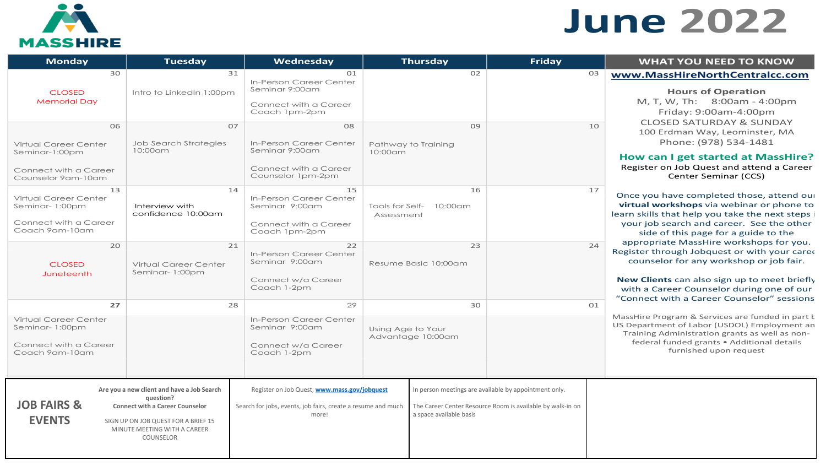

# **June 2022**

| <b>Monday</b>                                                                                                                                       | <b>Tuesday</b>                                                                                                                                                                        | Wednesday                                                                                                                                                                                  |                   | <b>Thursday</b>                                             | <b>Friday</b>                                                                                                       |                      | <b>WHAT YOU NEED TO KNOW</b>                                                                                                                                                                                                                                                                                                                                                                                                                                                              |
|-----------------------------------------------------------------------------------------------------------------------------------------------------|---------------------------------------------------------------------------------------------------------------------------------------------------------------------------------------|--------------------------------------------------------------------------------------------------------------------------------------------------------------------------------------------|-------------------|-------------------------------------------------------------|---------------------------------------------------------------------------------------------------------------------|----------------------|-------------------------------------------------------------------------------------------------------------------------------------------------------------------------------------------------------------------------------------------------------------------------------------------------------------------------------------------------------------------------------------------------------------------------------------------------------------------------------------------|
| 30<br><b>CLOSED</b><br><b>Memorial Day</b><br>06<br>Virtual Career Center<br>Seminar-1:00pm<br>Connect with a Career                                | 31<br>Intro to LinkedIn 1:00pm<br>07<br><b>Job Search Strategies</b><br>10:00am                                                                                                       | 01<br>In-Person Career Center<br>Seminar 9:00am<br>Connect with a Career<br>Coach 1pm-2pm<br>08<br>In-Person Career Center<br>Seminar 9:00am<br>Connect with a Career<br>Counselor 1pm-2pm | 10:00am           | 02<br>09<br>Pathway to Training                             |                                                                                                                     | O <sub>3</sub><br>10 | www.MassHireNorthCentralcc.com<br><b>Hours of Operation</b><br>M, T, W, Th: 8:00am - 4:00pm<br>Friday: 9:00am-4:00pm<br><b>CLOSED SATURDAY &amp; SUNDAY</b><br>100 Erdman Way, Leominster, MA<br>Phone: (978) 534-1481<br>How can I get started at MassHire?<br>Register on Job Quest and attend a Career                                                                                                                                                                                 |
| Counselor 9am-10am<br>13<br>Virtual Career Center<br>Seminar-1:00pm<br>Connect with a Career<br>Coach 9am-10am<br>20<br><b>CLOSED</b><br>Juneteenth | 14<br>Interview with<br>confidence 10:00am<br>21<br>Virtual Career Center<br>Seminar-1:00pm                                                                                           | 15<br>In-Person Career Center<br>Seminar 9:00am<br>Connect with a Career<br>Coach 1pm-2pm<br>22<br>In-Person Career Center<br>Seminar 9:00am<br>Connect w/a Career<br>Coach 1-2pm          | Assessment        | 16<br>Tools for Self- 10:00am<br>23<br>Resume Basic 10:00am |                                                                                                                     | 17<br>24             | Center Seminar (CCS)<br>Once you have completed those, attend our<br>virtual workshops via webinar or phone to<br>learn skills that help you take the next steps i<br>your job search and career. See the other<br>side of this page for a guide to the<br>appropriate MassHire workshops for you.<br>Register through Jobquest or with your care<br>counselor for any workshop or job fair.<br>New Clients can also sign up to meet briefly<br>with a Career Counselor during one of our |
| 27<br>Virtual Career Center<br>Seminar-1:00pm<br>Connect with a Career<br>Coach 9am-10am                                                            | 28                                                                                                                                                                                    | 29<br>In-Person Career Center<br>Seminar 9:00am<br>Connect w/a Career<br>Coach 1-2pm                                                                                                       | Using Age to Your | 30<br>Advantage 10:00am                                     |                                                                                                                     | 01                   | "Connect with a Career Counselor" sessions<br>MassHire Program & Services are funded in part k<br>US Department of Labor (USDOL) Employment an<br>Training Administration grants as well as non-<br>federal funded grants . Additional details<br>furnished upon request                                                                                                                                                                                                                  |
| <b>JOB FAIRS &amp;</b><br><b>EVENTS</b>                                                                                                             | Are you a new client and have a Job Search<br>question?<br><b>Connect with a Career Counselor</b><br>SIGN UP ON JOB QUEST FOR A BRIEF 15<br>MINUTE MEETING WITH A CAREER<br>COUNSELOR | Register on Job Quest, www.mass.gov/jobquest<br>Search for jobs, events, job fairs, create a resume and much<br>more!                                                                      |                   | a space available basis                                     | In person meetings are available by appointment only.<br>The Career Center Resource Room is available by walk-in on |                      |                                                                                                                                                                                                                                                                                                                                                                                                                                                                                           |